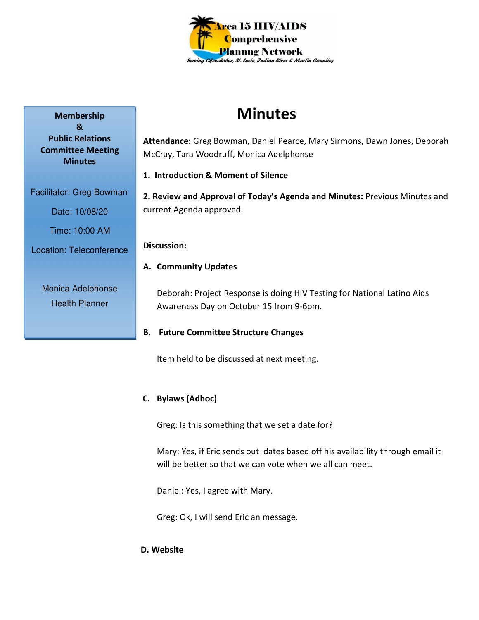

# **Minutes**

**Attendance:** Greg Bowman, Daniel Pearce, Mary Sirmons, Dawn Jones, Deborah McCray, Tara Woodruff, Monica Adelphonse

**1. Introduction & Moment of Silence** 

**2. Review and Approval of Today's Agenda and Minutes:** Previous Minutes and current Agenda approved.

#### **Discussion:**

## **A. Community Updates**

Monica Adelphonse Health Planner

Deborah: Project Response is doing HIV Testing for National Latino Aids Awareness Day on October 15 from 9-6pm.

# **B. Future Committee Structure Changes**

Item held to be discussed at next meeting.

# **C. Bylaws (Adhoc)**

Greg: Is this something that we set a date for?

Mary: Yes, if Eric sends out dates based off his availability through email it will be better so that we can vote when we all can meet.

Daniel: Yes, I agree with Mary.

Greg: Ok, I will send Eric an message.

## **D. Website**

**Membership & Public Relations Committee Meeting Minutes** 

Facilitator: Greg Bowman

Date: 10/08/20

Time: 10:00 AM

Location: Teleconference